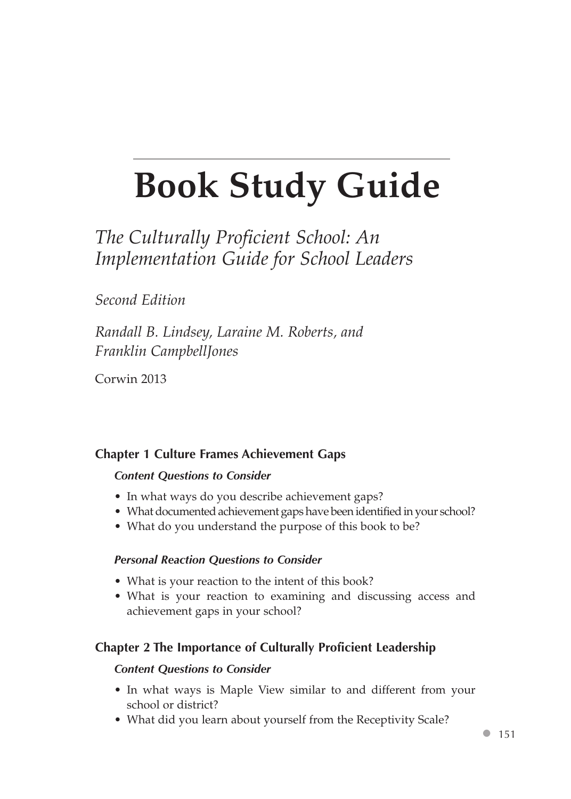# **Book Study Guide**

# *The Culturally Proficient School: An Implementation Guide for School Leaders*

# *Second Edition*

*Randall B. Lindsey, Laraine M. Roberts, and Franklin CampbellJones*

Corwin 2013

# **Chapter 1 Culture Frames Achievement Gaps**

#### *Content Questions to Consider*

- In what ways do you describe achievement gaps?
- What documented achievement gaps have been identified in your school?
- What do you understand the purpose of this book to be?

#### *Personal Reaction Questions to Consider*

- What is your reaction to the intent of this book?
- • What is your reaction to examining and discussing access and achievement gaps in your school?

# **Chapter 2 The Importance of Culturally Proficient Leadership**

#### *Content Questions to Consider*

- In what ways is Maple View similar to and different from your school or district?
- What did you learn about yourself from the Receptivity Scale?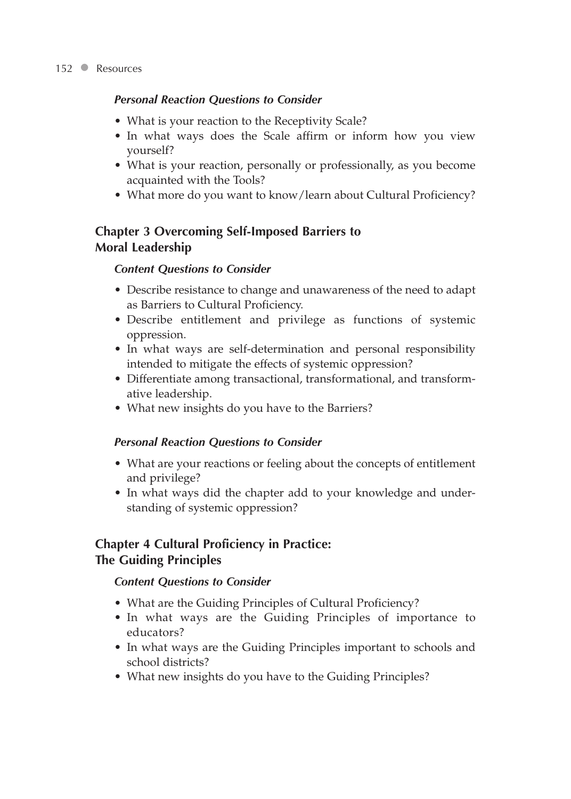#### *Personal Reaction Questions to Consider*

- What is your reaction to the Receptivity Scale?
- In what ways does the Scale affirm or inform how you view yourself?
- What is your reaction, personally or professionally, as you become acquainted with the Tools?
- What more do you want to know/learn about Cultural Proficiency?

# **Chapter 3 Overcoming Self-Imposed Barriers to Moral Leadership**

#### *Content Questions to Consider*

- Describe resistance to change and unawareness of the need to adapt as Barriers to Cultural Proficiency.
- Describe entitlement and privilege as functions of systemic oppression.
- In what ways are self-determination and personal responsibility intended to mitigate the effects of systemic oppression?
- • Differentiate among transactional, transformational, and transformative leadership.
- What new insights do you have to the Barriers?

#### *Personal Reaction Questions to Consider*

- What are your reactions or feeling about the concepts of entitlement and privilege?
- In what ways did the chapter add to your knowledge and understanding of systemic oppression?

# **Chapter 4 Cultural Proficiency in Practice: The Guiding Principles**

### *Content Questions to Consider*

- What are the Guiding Principles of Cultural Proficiency?
- In what ways are the Guiding Principles of importance to educators?
- In what ways are the Guiding Principles important to schools and school districts?
- What new insights do you have to the Guiding Principles?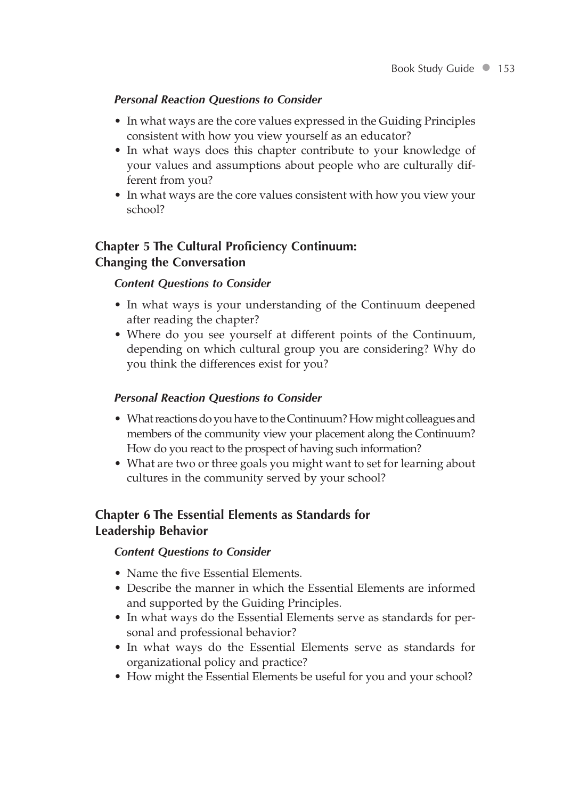#### *Personal Reaction Questions to Consider*

- In what ways are the core values expressed in the Guiding Principles consistent with how you view yourself as an educator?
- In what ways does this chapter contribute to your knowledge of your values and assumptions about people who are culturally different from you?
- In what ways are the core values consistent with how you view your school?

# **Chapter 5 The Cultural Proficiency Continuum: Changing the Conversation**

#### *Content Questions to Consider*

- In what ways is your understanding of the Continuum deepened after reading the chapter?
- Where do you see yourself at different points of the Continuum, depending on which cultural group you are considering? Why do you think the differences exist for you?

#### *Personal Reaction Questions to Consider*

- What reactions do you have to the Continuum? How might colleagues and members of the community view your placement along the Continuum? How do you react to the prospect of having such information?
- What are two or three goals you might want to set for learning about cultures in the community served by your school?

# **Chapter 6 The Essential Elements as Standards for Leadership Behavior**

#### *Content Questions to Consider*

- Name the five Essential Elements.
- Describe the manner in which the Essential Elements are informed and supported by the Guiding Principles.
- In what ways do the Essential Elements serve as standards for personal and professional behavior?
- In what ways do the Essential Elements serve as standards for organizational policy and practice?
- How might the Essential Elements be useful for you and your school?